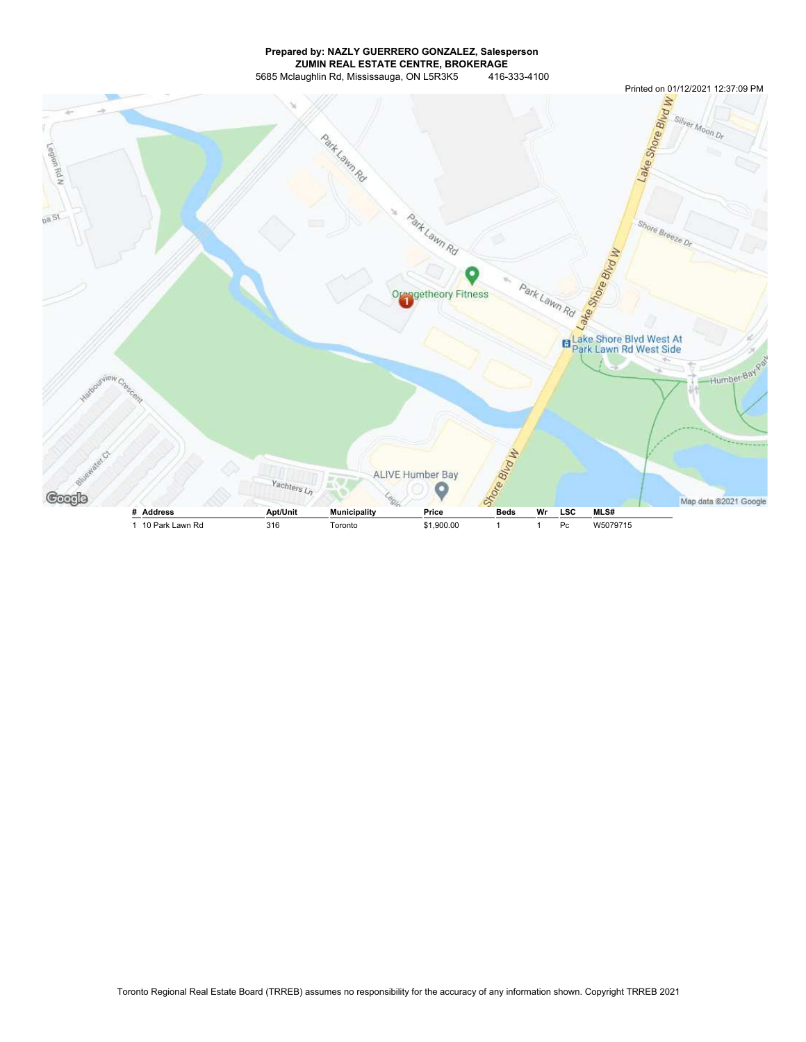## Prepared by: NAZLY GUERRERO GONZALEZ, Salesperson ZUMIN REAL ESTATE CENTRE, BROKERAGE 5685 Mclaughlin Rd, Mississauga, ON L5R3K5 416-333-4100